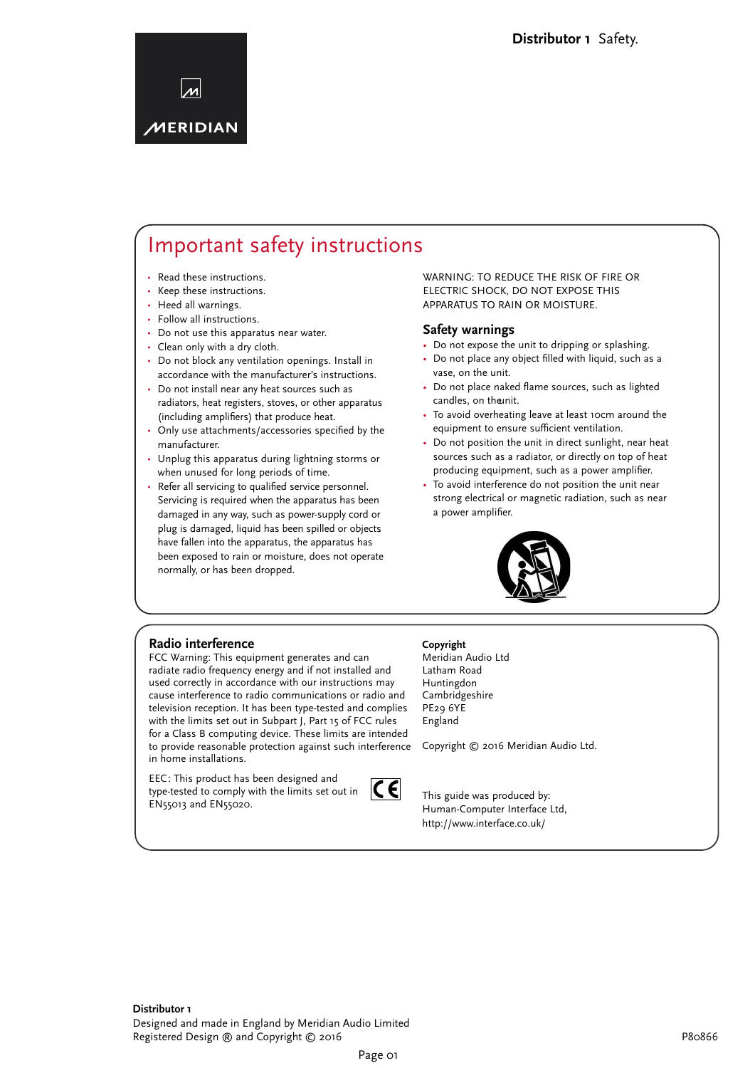

## Important safety instructions

- Read these instructions.
- Keep these instructions. •
- Heed all warnings. •
- Follow all instructions.
- Do not use this apparatus near water. •
- Clean only with a dry cloth. •
- Do not block any ventilation openings. Install in accordance with the manufacturer's instructions.
- Do not install near any heat sources such as radiators, heat registers, stoves, or other apparatus (including amplifiers) that produce heat.
- Only use attachments/accessories specified by the manufacturer. •
- Unplug this apparatus during lightning storms or when unused for long periods of time. •
- Refer all servicing to qualified service personnel. Servicing is required when the apparatus has been damaged in any way, such as power-supply cord or plug is damaged, liquid has been spilled or objects have fallen into the apparatus, the apparatus has been exposed to rain or moisture, does not operate normally, or has been dropped.

#### WARNING: TO REDUCE THE RISK OF FIRE OR ELECTRIC SHOCK, DO NOT EXPOSE THIS APPARATUS TO RAIN OR MOISTURE.

#### **Safety warnings**

- Do not expose the unit to dripping or splashing.
- Do not place any object filled with liquid, such as a vase, on the unit.
- Do not place naked flame sources, such as lighted candles, on theunit.
- To avoid overheating leave at least 10cm around the equipment to ensure sufficient ventilation. •
- Do not position the unit in direct sunlight, near heat sources such as a radiator, or directly on top of heat producing equipment, such as a power amplifier.
- To avoid interference do not position the unit near strong electrical or magnetic radiation, such as near a power amplifier.



#### **Radio interference**

FCC Warning: This equipment generates and can radiate radio frequency energy and if not installed and used correctly in accordance with our instructions may cause interference to radio communications or radio and television reception. It has been type-tested and complies with the limits set out in Subpart J, Part 15 of FCC rules for a Class B computing device. These limits are intended to provide reasonable protection against such interference in home installations.

EEC: This product has been designed and type-tested to comply with the limits set out in EN55013 and EN55020.



#### **Copyright**

Meridian Audio Ltd Latham Road Huntingdon Cambridgeshire PE29 6YE England

Copyright © 2016 Meridian Audio Ltd.

This guide was produced by: Human-Computer Interface Ltd, http://www.interface.co.uk/